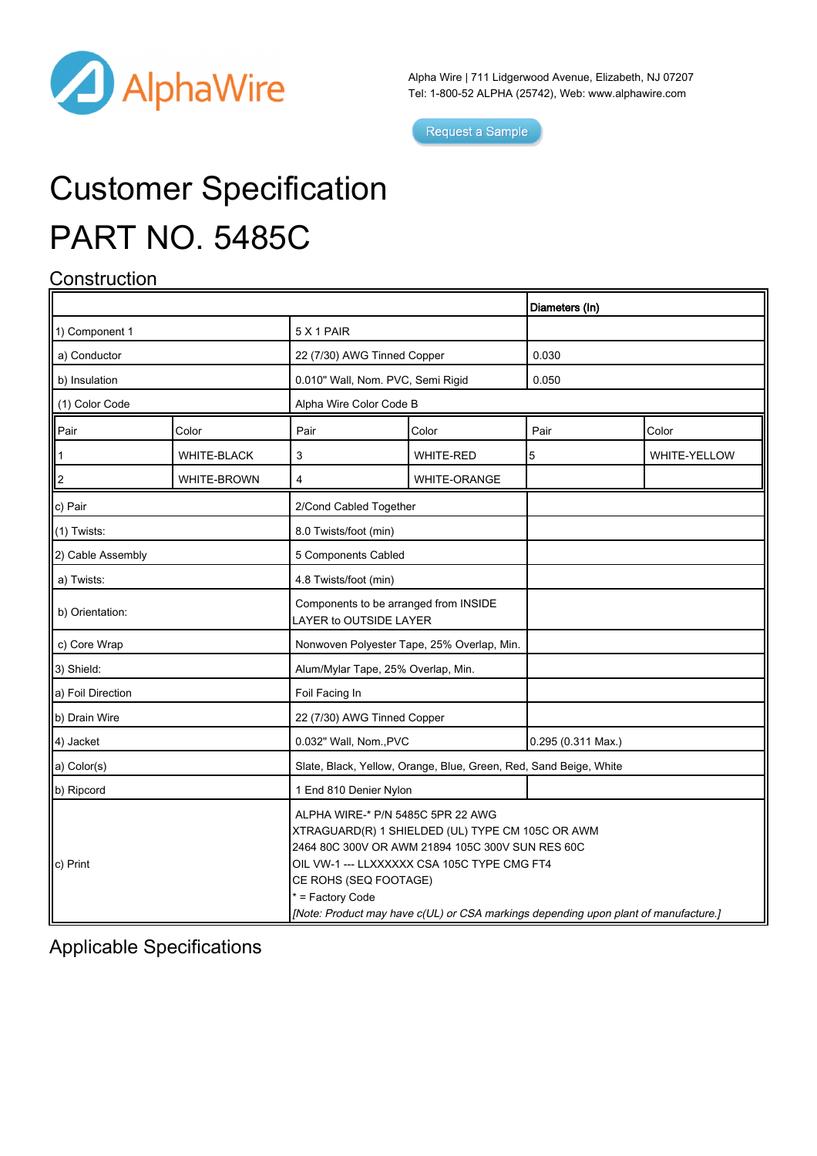

Alpha Wire | 711 Lidgerwood Avenue, Elizabeth, NJ 07207 Tel: 1-800-52 ALPHA (25742), Web: [www.alphawire.com](http://www.alphawire.com)

Request a Sample

# Customer Specification PART NO. 5485C

### **Construction**

|                         |             |                                                                                                                                                                                                                                                                                                                              |                     | Diameters (In)     |              |
|-------------------------|-------------|------------------------------------------------------------------------------------------------------------------------------------------------------------------------------------------------------------------------------------------------------------------------------------------------------------------------------|---------------------|--------------------|--------------|
| 1) Component 1          |             | 5 X 1 PAIR                                                                                                                                                                                                                                                                                                                   |                     |                    |              |
| a) Conductor            |             | 22 (7/30) AWG Tinned Copper                                                                                                                                                                                                                                                                                                  |                     | 0.030              |              |
| b) Insulation           |             | 0.010" Wall, Nom. PVC, Semi Rigid                                                                                                                                                                                                                                                                                            |                     | 0.050              |              |
| (1) Color Code          |             | Alpha Wire Color Code B                                                                                                                                                                                                                                                                                                      |                     |                    |              |
| Pair                    | Color       | Pair                                                                                                                                                                                                                                                                                                                         | Color               | Pair               | Color        |
| $\mathbf{1}$            | WHITE-BLACK | 3                                                                                                                                                                                                                                                                                                                            | <b>WHITE-RED</b>    | 5                  | WHITE-YELLOW |
| $\overline{\mathbf{c}}$ | WHITE-BROWN | 4                                                                                                                                                                                                                                                                                                                            | <b>WHITE-ORANGE</b> |                    |              |
| c) Pair                 |             | 2/Cond Cabled Together                                                                                                                                                                                                                                                                                                       |                     |                    |              |
| $(1)$ Twists:           |             | 8.0 Twists/foot (min)                                                                                                                                                                                                                                                                                                        |                     |                    |              |
| 2) Cable Assembly       |             | 5 Components Cabled                                                                                                                                                                                                                                                                                                          |                     |                    |              |
| a) Twists:              |             | 4.8 Twists/foot (min)                                                                                                                                                                                                                                                                                                        |                     |                    |              |
| b) Orientation:         |             | Components to be arranged from INSIDE<br>LAYER to OUTSIDE LAYER                                                                                                                                                                                                                                                              |                     |                    |              |
| c) Core Wrap            |             | Nonwoven Polyester Tape, 25% Overlap, Min.                                                                                                                                                                                                                                                                                   |                     |                    |              |
| 3) Shield:              |             | Alum/Mylar Tape, 25% Overlap, Min.                                                                                                                                                                                                                                                                                           |                     |                    |              |
| a) Foil Direction       |             | Foil Facing In                                                                                                                                                                                                                                                                                                               |                     |                    |              |
| b) Drain Wire           |             | 22 (7/30) AWG Tinned Copper                                                                                                                                                                                                                                                                                                  |                     |                    |              |
| 4) Jacket               |             | 0.032" Wall, Nom., PVC                                                                                                                                                                                                                                                                                                       |                     | 0.295 (0.311 Max.) |              |
| a) Color(s)             |             | Slate, Black, Yellow, Orange, Blue, Green, Red, Sand Beige, White                                                                                                                                                                                                                                                            |                     |                    |              |
| b) Ripcord              |             | 1 End 810 Denier Nylon                                                                                                                                                                                                                                                                                                       |                     |                    |              |
| $\vert c \rangle$ Print |             | ALPHA WIRE-* P/N 5485C 5PR 22 AWG<br>XTRAGUARD(R) 1 SHIELDED (UL) TYPE CM 105C OR AWM<br>2464 80C 300V OR AWM 21894 105C 300V SUN RES 60C<br>OIL VW-1 --- LLXXXXXX CSA 105C TYPE CMG FT4<br>CE ROHS (SEQ FOOTAGE)<br>* = Factory Code<br>[Note: Product may have c(UL) or CSA markings depending upon plant of manufacture.] |                     |                    |              |

Applicable Specifications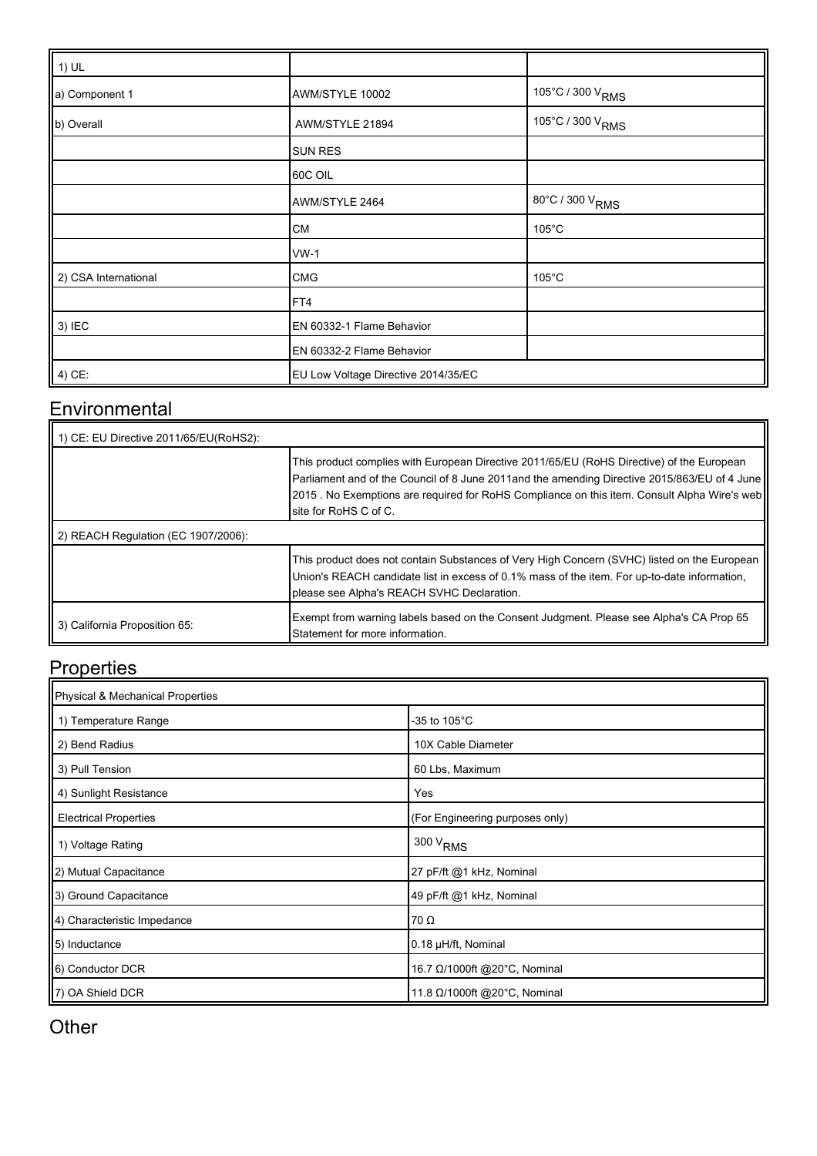| $\vert$ 1) UL        |                                     |                              |
|----------------------|-------------------------------------|------------------------------|
| a) Component 1       | AWM/STYLE 10002                     | 105°C / 300 V <sub>RMS</sub> |
| b) Overall           | AWM/STYLE 21894                     | 105°C / 300 V <sub>RMS</sub> |
|                      | <b>SUN RES</b>                      |                              |
|                      | 60C OIL                             |                              |
|                      | AWM/STYLE 2464                      | 80°C / 300 V <sub>RMS</sub>  |
|                      | CM                                  | $105^{\circ}$ C              |
|                      | $WW-1$                              |                              |
| 2) CSA International | <b>CMG</b>                          | $105^{\circ}$ C              |
|                      | FT4                                 |                              |
| 3) IEC               | EN 60332-1 Flame Behavior           |                              |
|                      | EN 60332-2 Flame Behavior           |                              |
| $\vert$ 4) CE:       | EU Low Voltage Directive 2014/35/EC |                              |

#### **Environmental**

| 1) CE: EU Directive 2011/65/EU(RoHS2): |                                                                                                                                                                                                                                                                                                                      |
|----------------------------------------|----------------------------------------------------------------------------------------------------------------------------------------------------------------------------------------------------------------------------------------------------------------------------------------------------------------------|
|                                        | This product complies with European Directive 2011/65/EU (RoHS Directive) of the European<br>Parliament and of the Council of 8 June 2011and the amending Directive 2015/863/EU of 4 June<br>[2015]. No Exemptions are required for RoHS Compliance on this item. Consult Alpha Wire's web<br>Isite for RoHS C of C. |
| 2) REACH Regulation (EC 1907/2006):    |                                                                                                                                                                                                                                                                                                                      |
|                                        | This product does not contain Substances of Very High Concern (SVHC) listed on the European<br>Union's REACH candidate list in excess of 0.1% mass of the item. For up-to-date information,<br>please see Alpha's REACH SVHC Declaration.                                                                            |
| 3) California Proposition 65:          | Exempt from warning labels based on the Consent Judgment. Please see Alpha's CA Prop 65<br>Statement for more information.                                                                                                                                                                                           |

#### **Properties**

| Physical & Mechanical Properties |                                  |  |  |  |
|----------------------------------|----------------------------------|--|--|--|
| 1) Temperature Range             | -35 to 105 $^{\circ}$ C          |  |  |  |
| 2) Bend Radius                   | 10X Cable Diameter               |  |  |  |
| 3) Pull Tension                  | 60 Lbs, Maximum                  |  |  |  |
| 4) Sunlight Resistance           | Yes                              |  |  |  |
| <b>Electrical Properties</b>     | (For Engineering purposes only)  |  |  |  |
| 1) Voltage Rating                | $300\,\mathrm{V}_{\mathrm{RMS}}$ |  |  |  |
| 2) Mutual Capacitance            | 27 pF/ft @1 kHz, Nominal         |  |  |  |
| 3) Ground Capacitance            | 49 pF/ft @1 kHz, Nominal         |  |  |  |
| [4] Characteristic Impedance     | 70 Ω                             |  |  |  |
| 5) Inductance                    | 0.18 µH/ft, Nominal              |  |  |  |
| 6) Conductor DCR                 | 16.7 Ω/1000ft @20°C, Nominal     |  |  |  |
| 7) OA Shield DCR                 | 11.8 Ω/1000ft @20°C, Nominal     |  |  |  |

#### **Other**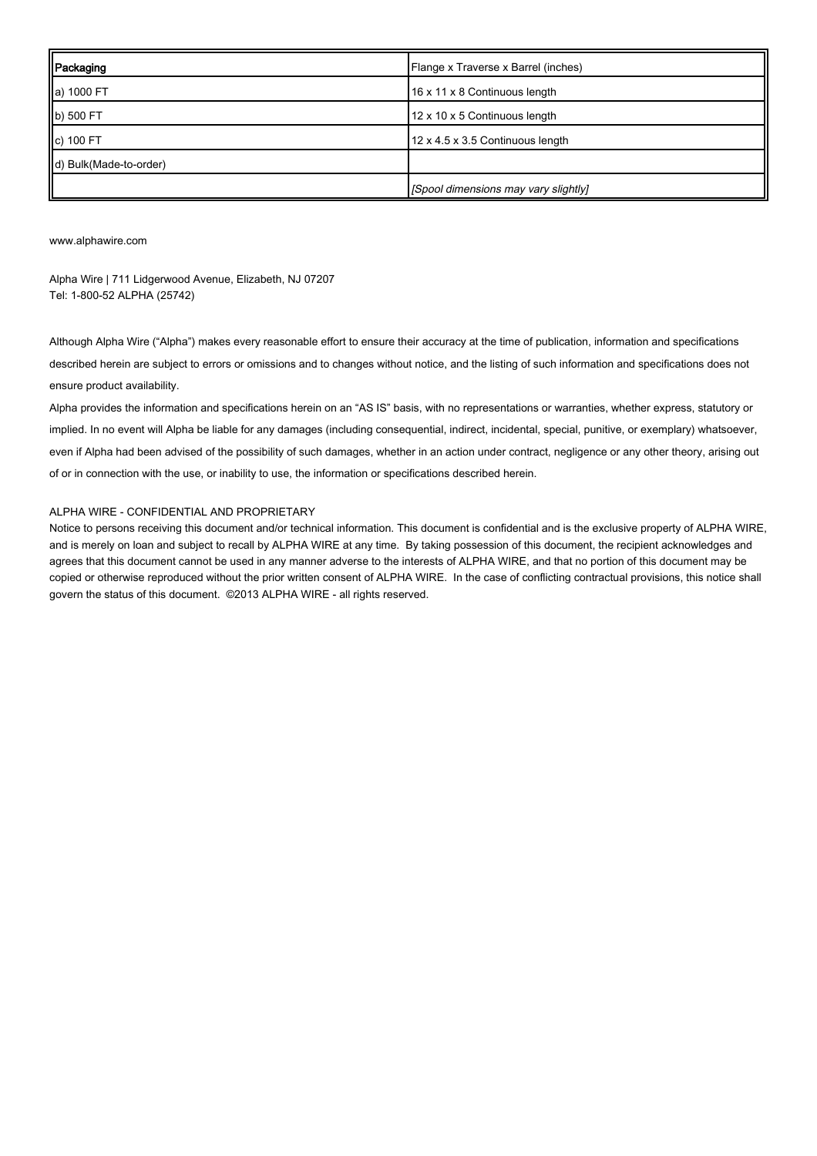| Packaging              | Flange x Traverse x Barrel (inches)  |
|------------------------|--------------------------------------|
| a) 1000 FT             | 16 x 11 x 8 Continuous length        |
| b) 500 FT              | 12 x 10 x 5 Continuous length        |
| c) 100 FT              | 12 x 4.5 x 3.5 Continuous length     |
| d) Bulk(Made-to-order) |                                      |
|                        | [Spool dimensions may vary slightly] |

[www.alphawire.com](http://www.alphawire.com)

Alpha Wire | 711 Lidgerwood Avenue, Elizabeth, NJ 07207 Tel: 1-800-52 ALPHA (25742)

Although Alpha Wire ("Alpha") makes every reasonable effort to ensure their accuracy at the time of publication, information and specifications described herein are subject to errors or omissions and to changes without notice, and the listing of such information and specifications does not ensure product availability.

Alpha provides the information and specifications herein on an "AS IS" basis, with no representations or warranties, whether express, statutory or implied. In no event will Alpha be liable for any damages (including consequential, indirect, incidental, special, punitive, or exemplary) whatsoever, even if Alpha had been advised of the possibility of such damages, whether in an action under contract, negligence or any other theory, arising out of or in connection with the use, or inability to use, the information or specifications described herein.

#### ALPHA WIRE - CONFIDENTIAL AND PROPRIETARY

Notice to persons receiving this document and/or technical information. This document is confidential and is the exclusive property of ALPHA WIRE, and is merely on loan and subject to recall by ALPHA WIRE at any time. By taking possession of this document, the recipient acknowledges and agrees that this document cannot be used in any manner adverse to the interests of ALPHA WIRE, and that no portion of this document may be copied or otherwise reproduced without the prior written consent of ALPHA WIRE. In the case of conflicting contractual provisions, this notice shall govern the status of this document. ©2013 ALPHA WIRE - all rights reserved.